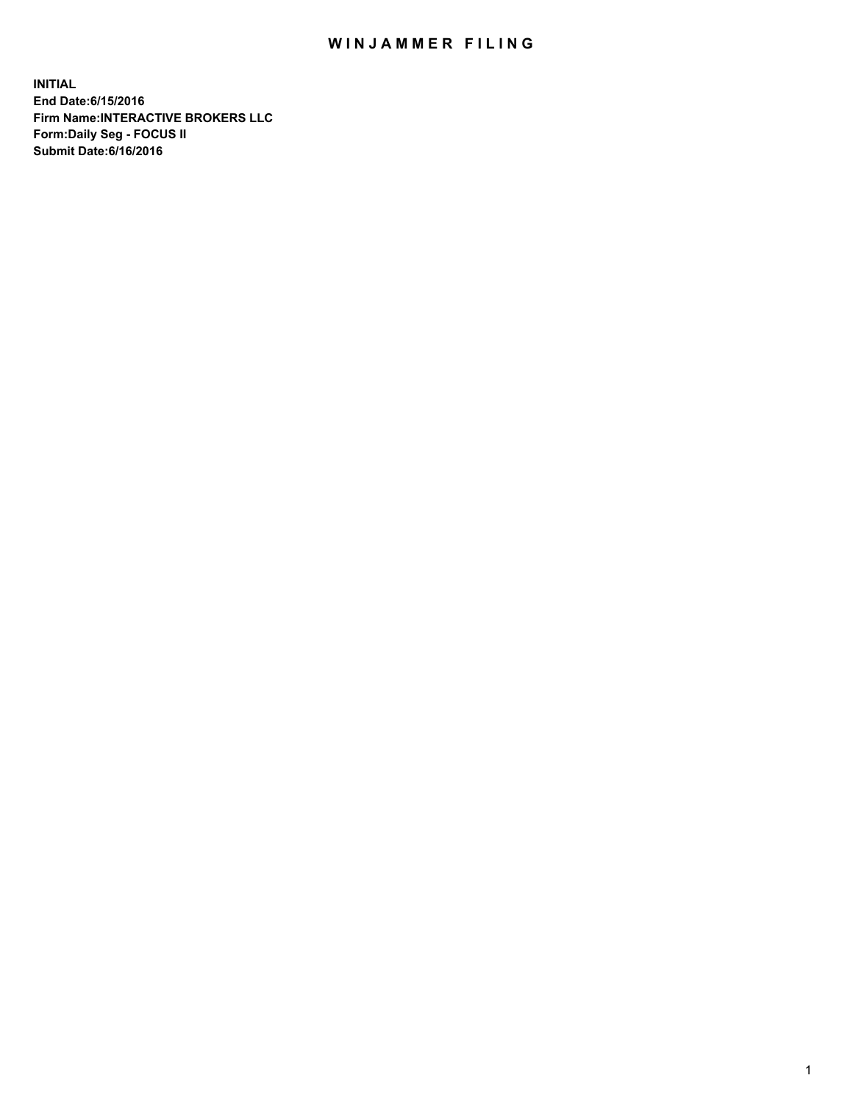## WIN JAMMER FILING

**INITIAL End Date:6/15/2016 Firm Name:INTERACTIVE BROKERS LLC Form:Daily Seg - FOCUS II Submit Date:6/16/2016**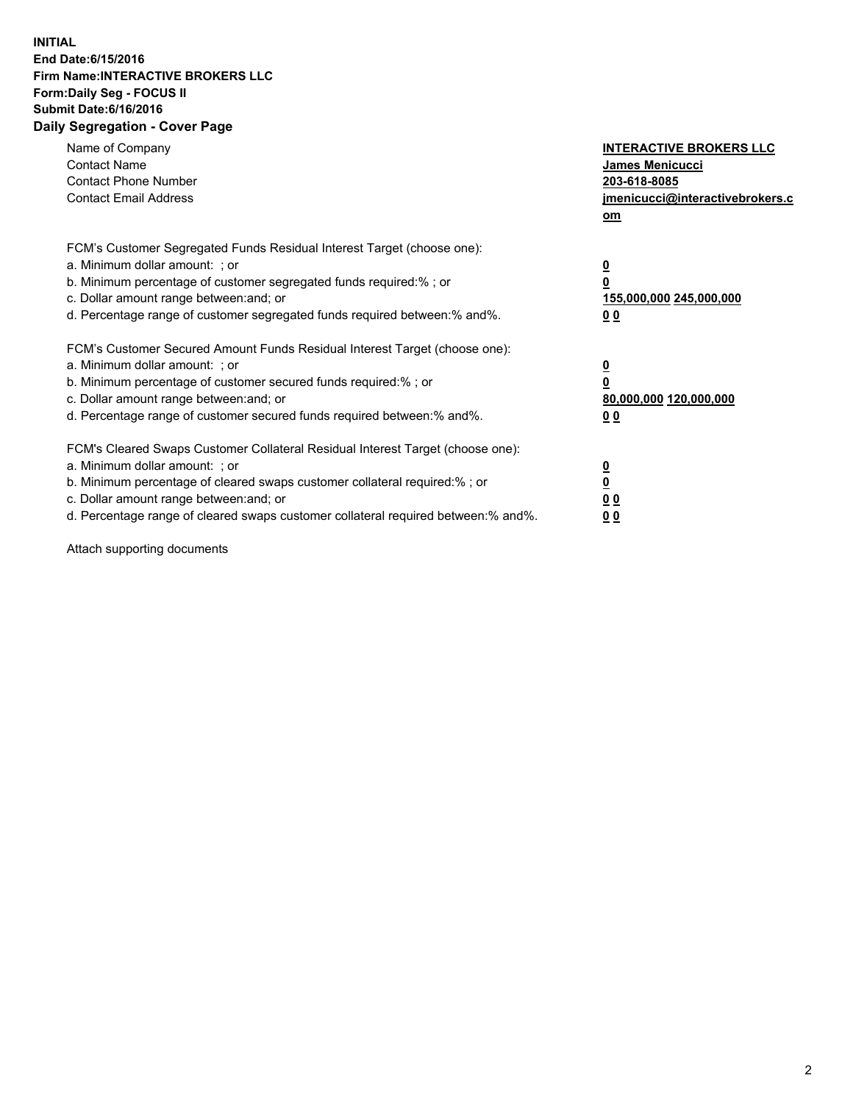## **INITIAL End Date:6/15/2016 Firm Name:INTERACTIVE BROKERS LLC Form:Daily Seg - FOCUS II Submit Date:6/16/2016 Daily Segregation - Cover Page**

| Name of Company<br><b>Contact Name</b><br><b>Contact Phone Number</b><br><b>Contact Email Address</b>                                                                                                                                                                                                                          | <b>INTERACTIVE BROKERS LLC</b><br><b>James Menicucci</b><br>203-618-8085<br>jmenicucci@interactivebrokers.c<br>om |
|--------------------------------------------------------------------------------------------------------------------------------------------------------------------------------------------------------------------------------------------------------------------------------------------------------------------------------|-------------------------------------------------------------------------------------------------------------------|
| FCM's Customer Segregated Funds Residual Interest Target (choose one):<br>a. Minimum dollar amount: ; or<br>b. Minimum percentage of customer segregated funds required:% ; or<br>c. Dollar amount range between: and; or<br>d. Percentage range of customer segregated funds required between: % and %.                       | $\overline{\mathbf{0}}$<br>0<br>155,000,000 245,000,000<br>00                                                     |
| FCM's Customer Secured Amount Funds Residual Interest Target (choose one):<br>a. Minimum dollar amount: ; or<br>b. Minimum percentage of customer secured funds required:%; or<br>c. Dollar amount range between: and; or<br>d. Percentage range of customer secured funds required between: % and %.                          | $\overline{\mathbf{0}}$<br>0<br>80,000,000 120,000,000<br>00                                                      |
| FCM's Cleared Swaps Customer Collateral Residual Interest Target (choose one):<br>a. Minimum dollar amount: ; or<br>b. Minimum percentage of cleared swaps customer collateral required:% ; or<br>c. Dollar amount range between: and; or<br>d. Percentage range of cleared swaps customer collateral required between:% and%. | $\overline{\mathbf{0}}$<br>$\overline{\mathbf{0}}$<br>00<br>0 <sub>0</sub>                                        |

Attach supporting documents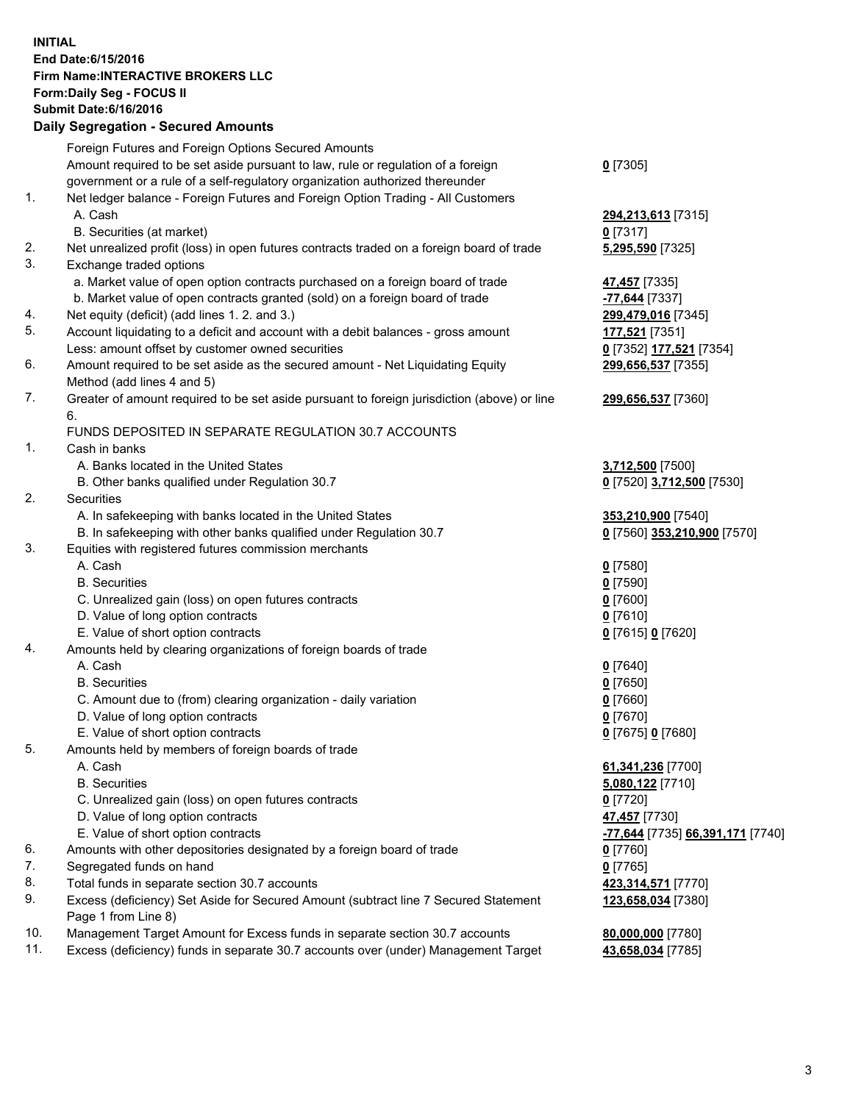## **INITIAL End Date:6/15/2016 Firm Name:INTERACTIVE BROKERS LLC Form:Daily Seg - FOCUS II Submit Date:6/16/2016 Daily Segregation - Secured Amounts**

|     | Daily Ocglegation - Occuled Amounts                                                                        |                                  |
|-----|------------------------------------------------------------------------------------------------------------|----------------------------------|
|     | Foreign Futures and Foreign Options Secured Amounts                                                        |                                  |
|     | Amount required to be set aside pursuant to law, rule or regulation of a foreign                           | $0$ [7305]                       |
|     | government or a rule of a self-regulatory organization authorized thereunder                               |                                  |
| 1.  | Net ledger balance - Foreign Futures and Foreign Option Trading - All Customers                            |                                  |
|     | A. Cash                                                                                                    | 294,213,613 [7315]               |
|     | B. Securities (at market)                                                                                  | $0$ [7317]                       |
| 2.  | Net unrealized profit (loss) in open futures contracts traded on a foreign board of trade                  | 5,295,590 [7325]                 |
| 3.  | Exchange traded options                                                                                    |                                  |
|     | a. Market value of open option contracts purchased on a foreign board of trade                             | 47,457 [7335]                    |
|     | b. Market value of open contracts granted (sold) on a foreign board of trade                               | -77,644 [7337]                   |
| 4.  | Net equity (deficit) (add lines 1. 2. and 3.)                                                              | 299,479,016 [7345]               |
| 5.  | Account liquidating to a deficit and account with a debit balances - gross amount                          | 177,521 [7351]                   |
|     | Less: amount offset by customer owned securities                                                           | 0 [7352] 177,521 [7354]          |
| 6.  | Amount required to be set aside as the secured amount - Net Liquidating Equity                             | 299,656,537 [7355]               |
|     | Method (add lines 4 and 5)                                                                                 |                                  |
| 7.  | Greater of amount required to be set aside pursuant to foreign jurisdiction (above) or line                | 299,656,537 [7360]               |
|     | 6.                                                                                                         |                                  |
|     | FUNDS DEPOSITED IN SEPARATE REGULATION 30.7 ACCOUNTS                                                       |                                  |
| 1.  | Cash in banks                                                                                              |                                  |
|     | A. Banks located in the United States                                                                      | 3,712,500 [7500]                 |
|     | B. Other banks qualified under Regulation 30.7                                                             | 0 [7520] 3,712,500 [7530]        |
| 2.  | Securities                                                                                                 |                                  |
|     | A. In safekeeping with banks located in the United States                                                  | 353,210,900 [7540]               |
|     | B. In safekeeping with other banks qualified under Regulation 30.7                                         | 0 [7560] 353,210,900 [7570]      |
| 3.  | Equities with registered futures commission merchants                                                      |                                  |
|     | A. Cash                                                                                                    | $0$ [7580]                       |
|     | <b>B.</b> Securities                                                                                       | $0$ [7590]                       |
|     | C. Unrealized gain (loss) on open futures contracts                                                        | $0$ [7600]                       |
|     | D. Value of long option contracts                                                                          | $0$ [7610]                       |
|     | E. Value of short option contracts                                                                         | 0 [7615] 0 [7620]                |
| 4.  | Amounts held by clearing organizations of foreign boards of trade                                          |                                  |
|     | A. Cash                                                                                                    | $0$ [7640]                       |
|     | <b>B.</b> Securities                                                                                       | $0$ [7650]                       |
|     | C. Amount due to (from) clearing organization - daily variation                                            | $0$ [7660]                       |
|     | D. Value of long option contracts                                                                          | $0$ [7670]                       |
|     | E. Value of short option contracts                                                                         | 0 [7675] 0 [7680]                |
| 5.  | Amounts held by members of foreign boards of trade                                                         |                                  |
|     | A. Cash                                                                                                    | 61,341,236 [7700]                |
|     | <b>B.</b> Securities                                                                                       | 5,080,122 [7710]                 |
|     | C. Unrealized gain (loss) on open futures contracts                                                        | $0$ [7720]                       |
|     | D. Value of long option contracts                                                                          | 47,457 [7730]                    |
|     | E. Value of short option contracts                                                                         | -77,644 [7735] 66,391,171 [7740] |
| 6.  | Amounts with other depositories designated by a foreign board of trade                                     | 0 [7760]                         |
| 7.  | Segregated funds on hand                                                                                   | $0$ [7765]                       |
| 8.  | Total funds in separate section 30.7 accounts                                                              | 423,314,571 [7770]               |
| 9.  | Excess (deficiency) Set Aside for Secured Amount (subtract line 7 Secured Statement<br>Page 1 from Line 8) | 123,658,034 [7380]               |
| 10. | Management Target Amount for Excess funds in separate section 30.7 accounts                                | 80,000,000 [7780]                |
| 11. | Excess (deficiency) funds in separate 30.7 accounts over (under) Management Target                         | 43,658,034 [7785]                |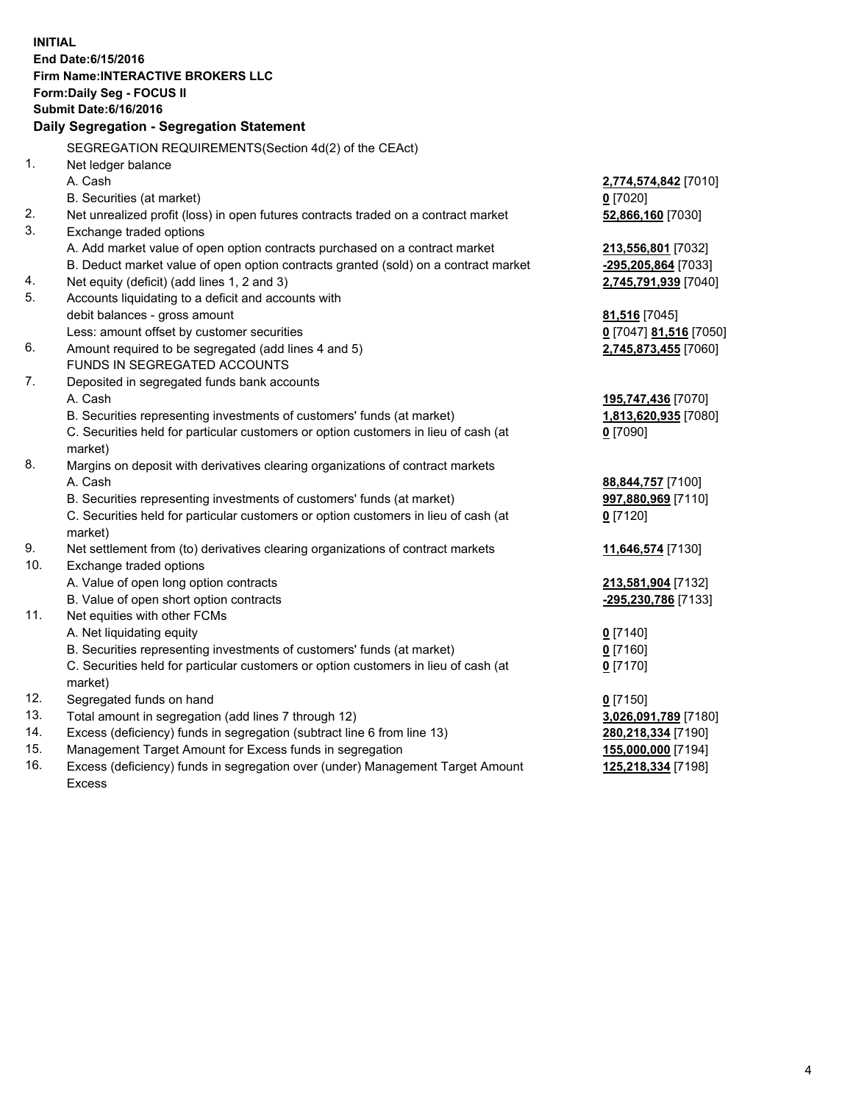**INITIAL End Date:6/15/2016 Firm Name:INTERACTIVE BROKERS LLC Form:Daily Seg - FOCUS II Submit Date:6/16/2016 Daily Segregation - Segregation Statement** SEGREGATION REQUIREMENTS(Section 4d(2) of the CEAct) 1. Net ledger balance A. Cash **2,774,574,842** [7010] B. Securities (at market) **0** [7020] 2. Net unrealized profit (loss) in open futures contracts traded on a contract market **52,866,160** [7030] 3. Exchange traded options A. Add market value of open option contracts purchased on a contract market **213,556,801** [7032] B. Deduct market value of open option contracts granted (sold) on a contract market **-295,205,864** [7033] 4. Net equity (deficit) (add lines 1, 2 and 3) **2,745,791,939** [7040] 5. Accounts liquidating to a deficit and accounts with debit balances - gross amount **81,516** [7045] Less: amount offset by customer securities **0** [7047] **81,516** [7050] 6. Amount required to be segregated (add lines 4 and 5) **2,745,873,455** [7060] FUNDS IN SEGREGATED ACCOUNTS 7. Deposited in segregated funds bank accounts A. Cash **195,747,436** [7070] B. Securities representing investments of customers' funds (at market) **1,813,620,935** [7080] C. Securities held for particular customers or option customers in lieu of cash (at market) **0** [7090] 8. Margins on deposit with derivatives clearing organizations of contract markets A. Cash **88,844,757** [7100] B. Securities representing investments of customers' funds (at market) **997,880,969** [7110] C. Securities held for particular customers or option customers in lieu of cash (at market) **0** [7120] 9. Net settlement from (to) derivatives clearing organizations of contract markets **11,646,574** [7130] 10. Exchange traded options A. Value of open long option contracts **213,581,904** [7132] B. Value of open short option contracts **-295,230,786** [7133] 11. Net equities with other FCMs A. Net liquidating equity **0** [7140] B. Securities representing investments of customers' funds (at market) **0** [7160] C. Securities held for particular customers or option customers in lieu of cash (at market) **0** [7170] 12. Segregated funds on hand **0** [7150] 13. Total amount in segregation (add lines 7 through 12) **3,026,091,789** [7180] 14. Excess (deficiency) funds in segregation (subtract line 6 from line 13) **280,218,334** [7190] 15. Management Target Amount for Excess funds in segregation **155,000,000** [7194] 16. Excess (deficiency) funds in segregation over (under) Management Target Amount **125,218,334** [7198]

Excess